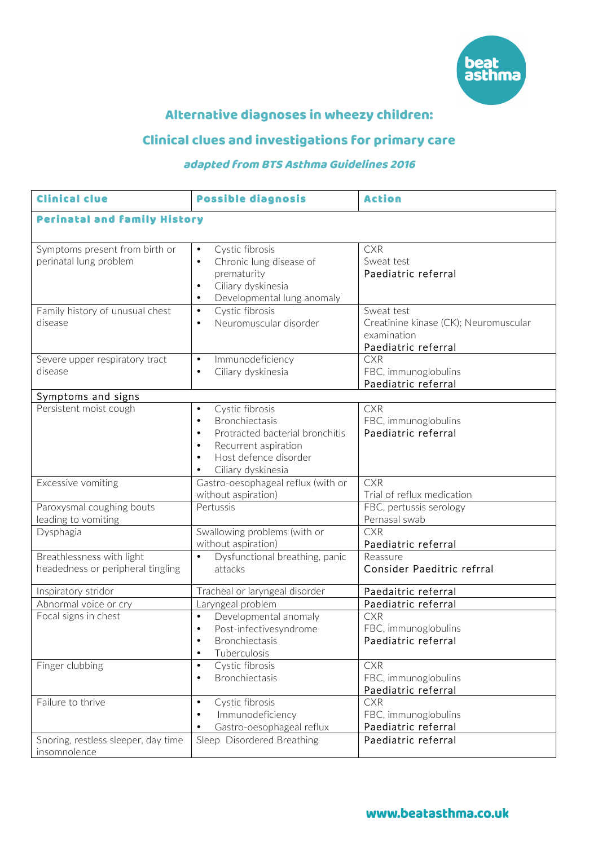

# Alternative diagnoses in wheezy children:

# Clinical clues and investigations for primary care

## adapted from BTS Asthma Guidelines 2016

| <b>Clinical clue</b>                                           | <b>Possible diagnosis</b>                                                                                                                                                                                           | <b>Action</b>                                                                             |
|----------------------------------------------------------------|---------------------------------------------------------------------------------------------------------------------------------------------------------------------------------------------------------------------|-------------------------------------------------------------------------------------------|
| <b>Perinatal and family History</b>                            |                                                                                                                                                                                                                     |                                                                                           |
| Symptoms present from birth or<br>perinatal lung problem       | Cystic fibrosis<br>$\bullet$<br>Chronic lung disease of<br>$\bullet$<br>prematurity<br>Ciliary dyskinesia<br>$\bullet$<br>Developmental lung anomaly<br>$\bullet$                                                   | <b>CXR</b><br>Sweat test<br>Paediatric referral                                           |
| Family history of unusual chest<br>disease                     | Cystic fibrosis<br>$\bullet$<br>Neuromuscular disorder<br>$\bullet$                                                                                                                                                 | Sweat test<br>Creatinine kinase (CK); Neuromuscular<br>examination<br>Paediatric referral |
| Severe upper respiratory tract<br>disease                      | Immunodeficiency<br>$\bullet$<br>Ciliary dyskinesia<br>$\bullet$                                                                                                                                                    | <b>CXR</b><br>FBC, immunoglobulins<br>Paediatric referral                                 |
| Symptoms and signs                                             |                                                                                                                                                                                                                     |                                                                                           |
| Persistent moist cough                                         | Cystic fibrosis<br>$\bullet$<br><b>Bronchiectasis</b><br>$\bullet$<br>Protracted bacterial bronchitis<br>$\bullet$<br>Recurrent aspiration<br>$\bullet$<br>Host defence disorder<br>$\bullet$<br>Ciliary dyskinesia | <b>CXR</b><br>FBC, immunoglobulins<br>Paediatric referral                                 |
| Excessive vomiting                                             | Gastro-oesophageal reflux (with or<br>without aspiration)                                                                                                                                                           | <b>CXR</b><br>Trial of reflux medication                                                  |
| Paroxysmal coughing bouts<br>leading to vomiting               | Pertussis                                                                                                                                                                                                           | FBC, pertussis serology<br>Pernasal swab                                                  |
| Dysphagia                                                      | Swallowing problems (with or<br>without aspiration)                                                                                                                                                                 | <b>CXR</b><br>Paediatric referral                                                         |
| Breathlessness with light<br>headedness or peripheral tingling | $\bullet$<br>Dysfunctional breathing, panic<br>attacks                                                                                                                                                              | Reassure<br>Consider Paeditric refrral                                                    |
| Inspiratory stridor                                            | Tracheal or laryngeal disorder                                                                                                                                                                                      | Paedaitric referral                                                                       |
| Abnormal voice or cry                                          | Laryngeal problem                                                                                                                                                                                                   | Paediatric referral                                                                       |
| Focal signs in chest                                           | Developmental anomaly<br>$\bullet$<br>Post-infectivesyndrome<br>$\bullet$<br>Bronchiectasis<br>$\bullet$<br>Tuberculosis<br>$\bullet$                                                                               | <b>CXR</b><br>FBC, immunoglobulins<br>Paediatric referral                                 |
| Finger clubbing                                                | Cystic fibrosis<br>$\bullet$<br>Bronchiectasis<br>$\bullet$                                                                                                                                                         | <b>CXR</b><br>FBC, immunoglobulins<br>Paediatric referral                                 |
| Failure to thrive                                              | Cystic fibrosis<br>$\bullet$<br>Immunodeficiency<br>$\bullet$<br>Gastro-oesophageal reflux                                                                                                                          | <b>CXR</b><br>FBC, immunoglobulins<br>Paediatric referral                                 |
| Snoring, restless sleeper, day time<br>insomnolence            | Sleep Disordered Breathing                                                                                                                                                                                          | Paediatric referral                                                                       |